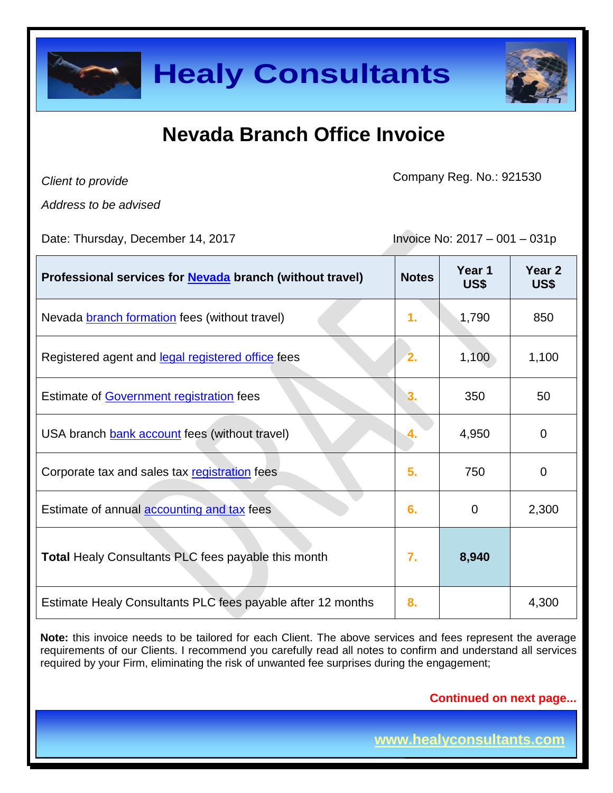

| <b>Healy Consultants</b>                                                                                                                                                                                                                                                                                                   |              |                               |                |  |
|----------------------------------------------------------------------------------------------------------------------------------------------------------------------------------------------------------------------------------------------------------------------------------------------------------------------------|--------------|-------------------------------|----------------|--|
| Nevada Branch Office Invoice                                                                                                                                                                                                                                                                                               |              |                               |                |  |
| Client to provide                                                                                                                                                                                                                                                                                                          |              | Company Reg. No.: 921530      |                |  |
| Address to be advised<br>Date: Thursday, December 14, 2017                                                                                                                                                                                                                                                                 |              | Invoice No: 2017 - 001 - 031p |                |  |
| Professional services for <b>Nevada</b> branch (without travel)                                                                                                                                                                                                                                                            | <b>Notes</b> | Year 1<br>US\$                | Year 2<br>US\$ |  |
| Nevada branch formation fees (without travel)                                                                                                                                                                                                                                                                              | 1.           | 1,790                         | 850            |  |
| Registered agent and legal registered office fees                                                                                                                                                                                                                                                                          |              | 1,100                         | 1,100          |  |
| <b>Estimate of Government registration fees</b>                                                                                                                                                                                                                                                                            |              | 350                           | 50             |  |
| USA branch bank account fees (without travel)                                                                                                                                                                                                                                                                              |              | 4,950                         | 0              |  |
| Corporate tax and sales tax registration fees                                                                                                                                                                                                                                                                              | 5.           | 750                           | 0              |  |
| Estimate of annual accounting and tax fees                                                                                                                                                                                                                                                                                 | 6.           | 0                             | 2,300          |  |
| <b>Total Healy Consultants PLC fees payable this month</b>                                                                                                                                                                                                                                                                 | 7.           | 8,940                         |                |  |
| Estimate Healy Consultants PLC fees payable after 12 months                                                                                                                                                                                                                                                                | 8.           |                               | 4,300          |  |
| Note: this invoice needs to be tailored for each Client. The above services and fees represent the average<br>requirements of our Clients. I recommend you carefully read all notes to confirm and understand all services<br>required by your Firm, eliminating the risk of unwanted fee surprises during the engagement; |              |                               |                |  |
|                                                                                                                                                                                                                                                                                                                            |              | <b>Continued on next page</b> |                |  |
|                                                                                                                                                                                                                                                                                                                            |              | www.healyconsultants.com      |                |  |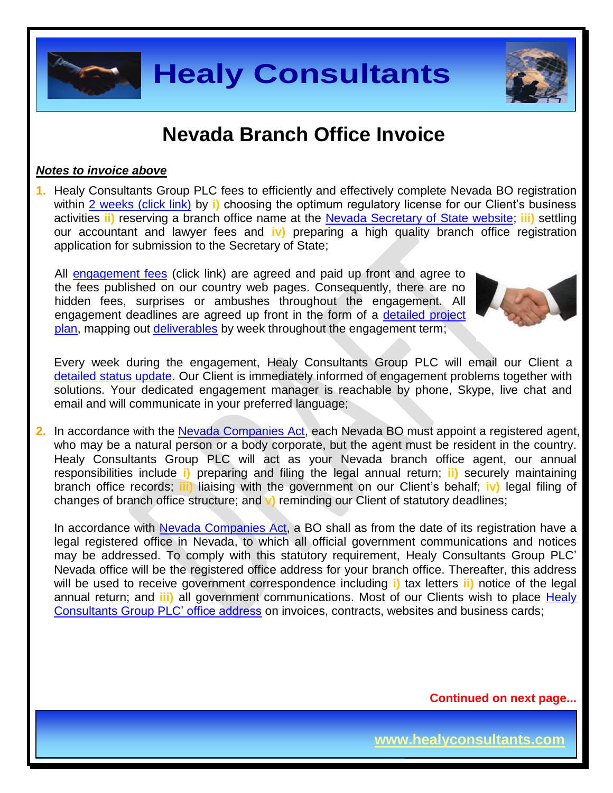

### *Notes to invoice above*

**1.** Healy Consultants Group PLC fees to efficiently and effectively complete Nevada BO registration within 2 [weeks \(click link\)](http://www.healyconsultants.com/nevada-company-registration/fees-timelines/#timelines) by i) choosing the optimum regulatory license for our Client's business activities **ii)** reserving a branch office name at the [Nevada Secretary of State](https://nvsos.gov/index.aspx?page=428) website; **iii)** settling our accountant and lawyer fees and **iv)** preparing a high quality branch office registration application for submission to the Secretary of State;

All [engagement fees](http://www.healyconsultants.com/company-registration-fees/) (click link) are agreed and paid up front and agree to the fees published on our country web pages. Consequently, there are no hidden fees, surprises or ambushes throughout the engagement. All engagement deadlines are agreed up front in the form of a [detailed project](http://www.healyconsultants.com/index-important-links/example-project-plan/)  [plan,](http://www.healyconsultants.com/index-important-links/example-project-plan/) mapping out [deliverables](http://www.healyconsultants.com/deliverables-to-our-clients/) by week throughout the engagement term;



**Page 2 of 7**

Every week during the engagement, Healy Consultants Group PLC will email our Client a [detailed status update.](http://www.healyconsultants.com/index-important-links/weekly-engagement-status-email/) Our Client is immediately informed of engagement problems together with solutions. Your dedicated engagement manager is reachable by phone, Skype, live chat and email and will communicate in your preferred language;

**2.** In accordance with the Nevada [Companies Act,](http://www.leg.state.nv.us/NRS/NRS-086.html) each Nevada BO must appoint a registered agent, who may be a natural person or a body corporate, but the agent must be resident in the country. Healy Consultants Group PLC will act as your Nevada branch office agent, our annual responsibilities include **i)** preparing and filing the legal annual return; **ii)** securely maintaining branch office records; **iii)** liaising with the government on our Client's behalf; **iv)** legal filing of changes of branch office structure; and **v)** reminding our Client of statutory deadlines;

**Healy Consultants**<br>
Weyada Branch Office Invoice<br>
Weyada Branch Office Invoice<br>
Weing by a chosing the optimizing a branch office and the plentary complete Nevada Bo registrating<br>
of coup PLC fees to efficiently and effec In accordance with Nevada [Companies Act,](http://www.leg.state.nv.us/NRS/NRS-086.html) a BO shall as from the date of its registration have a legal registered office in Nevada, to which all official government communications and notices may be addressed. To comply with this statutory requirement, Healy Consultants Group PLC' Nevada office will be the registered office address for your branch office. Thereafter, this address will be used to receive government correspondence including **i)** tax letters **ii)** notice of the legal annual return; and **iii)** all government communications. Most of our Clients wish to place [Healy](http://www.healyconsultants.com/corporate-outsourcing-services/company-secretary-and-legal-registered-office/)  [Consultants Group PLC' office address](http://www.healyconsultants.com/corporate-outsourcing-services/company-secretary-and-legal-registered-office/) on invoices, contracts, websites and business cards;

**Continued on next page...**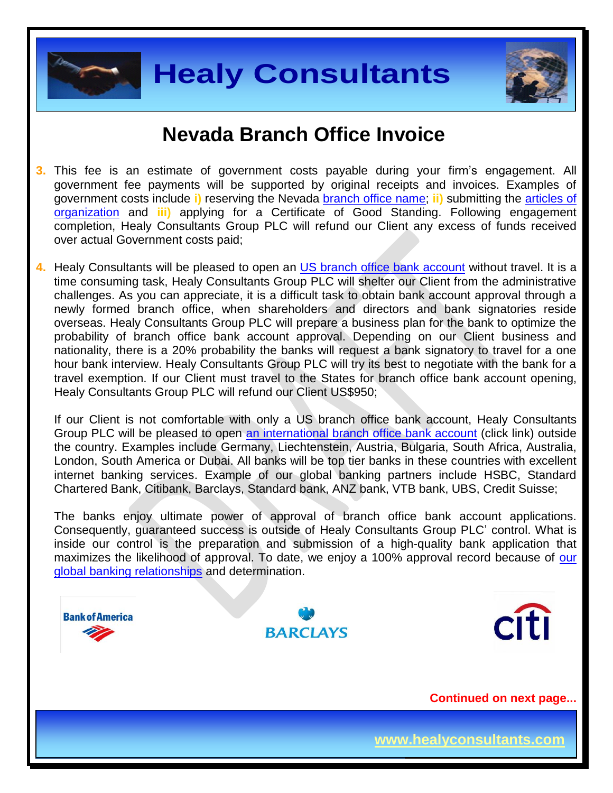



- **3.** This fee is an estimate of government costs payable during your firm's engagement. All government fee payments will be supported by original receipts and invoices. Examples of government costs include **i)** reserving the Nevada [branch office](http://nvsos.gov/Modules/ShowDocument.aspx?documentid=901) name; **ii)** submitting the [articles of](http://nvsos.gov/Modules/ShowDocument.aspx?documentid=1004)  [organization](http://nvsos.gov/Modules/ShowDocument.aspx?documentid=1004) and **iii)** applying for a Certificate of Good Standing. Following engagement completion, Healy Consultants Group PLC will refund our Client any excess of funds received over actual Government costs paid;
- **4.** Healy Consultants will be pleased to open an [US branch office](http://www.healyconsultants.com/usa-company-registration/formation-support-services/#banking) bank account without travel. It is a time consuming task, Healy Consultants Group PLC will shelter our Client from the administrative challenges. As you can appreciate, it is a difficult task to obtain bank account approval through a newly formed branch office, when shareholders and directors and bank signatories reside overseas. Healy Consultants Group PLC will prepare a business plan for the bank to optimize the probability of branch office bank account approval. Depending on our Client business and nationality, there is a 20% probability the banks will request a bank signatory to travel for a one hour bank interview. Healy Consultants Group PLC will try its best to negotiate with the bank for a travel exemption. If our Client must travel to the States for branch office bank account opening, Healy Consultants Group PLC will refund our Client US\$950;

If our Client is not comfortable with only a US branch office bank account, Healy Consultants Group PLC will be pleased to open [an international branch office](http://www.healyconsultants.com/international-banking/) bank account (click link) outside the country. Examples include Germany, Liechtenstein, Austria, Bulgaria, South Africa, Australia, London, South America or Dubai. All banks will be top tier banks in these countries with excellent internet banking services. Example of our global banking partners include HSBC, Standard Chartered Bank, Citibank, Barclays, Standard bank, ANZ bank, VTB bank, UBS, Credit Suisse;

The banks enjoy ultimate power of approval of branch office bank account applications. Consequently, guaranteed success is outside of Healy Consultants Group PLC' control. What is inside our control is the preparation and submission of a high-quality bank application that maximizes the likelihood of approval. To date, we enjoy a 100% approval record because of our [global banking relationships](http://www.healyconsultants.com/international-banking/corporate-accounts/) and determination.

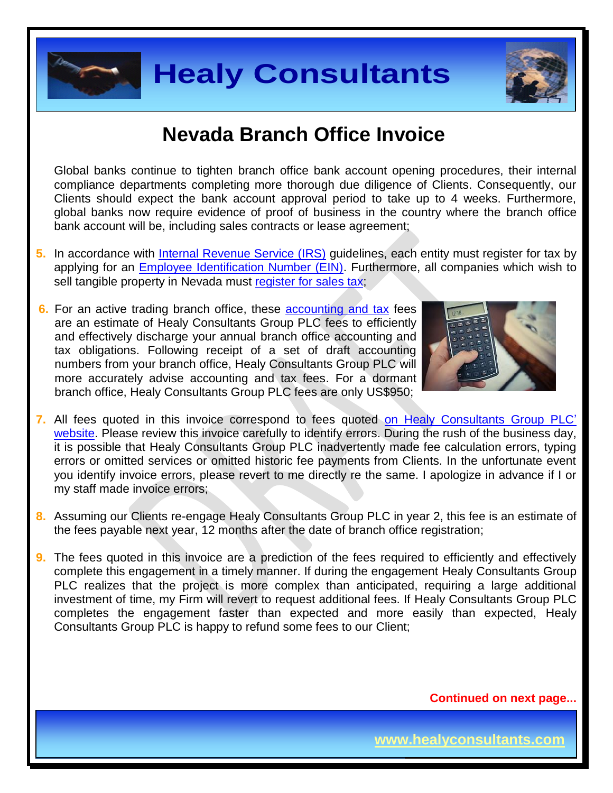



Global banks continue to tighten branch office bank account opening procedures, their internal compliance departments completing more thorough due diligence of Clients. Consequently, our Clients should expect the bank account approval period to take up to 4 weeks. Furthermore, global banks now require evidence of proof of business in the country where the branch office bank account will be, including sales contracts or lease agreement;

- **5.** In accordance with [Internal Revenue Service \(IRS\)](http://www.irs.gov/) guidelines, each entity must register for tax by applying for an [Employee Identification Number \(EIN\).](http://www.irs.gov/pub/irs-pdf/p1635.pdf) Furthermore, all companies which wish to sell tangible property in Nevada must [register for sales tax;](http://tax.nv.gov/FAQs/Sales_Tax_Information___FAQ_s/)
- **6.** For an active trading branch office, these [accounting and tax](http://www.healyconsultants.com/usa-company-registration/accounting-legal/) fees are an estimate of Healy Consultants Group PLC fees to efficiently and effectively discharge your annual branch office accounting and tax obligations. Following receipt of a set of draft accounting numbers from your branch office, Healy Consultants Group PLC will more accurately advise accounting and tax fees. For a dormant branch office, Healy Consultants Group PLC fees are only US\$950;



- **7.** All fees quoted in this invoice correspond to fees quoted [on Healy Consultants Group PLC'](http://www.healyconsultants.com/company-registration-fees/)  [website.](http://www.healyconsultants.com/company-registration-fees/) Please review this invoice carefully to identify errors. During the rush of the business day, it is possible that Healy Consultants Group PLC inadvertently made fee calculation errors, typing errors or omitted services or omitted historic fee payments from Clients. In the unfortunate event you identify invoice errors, please revert to me directly re the same. I apologize in advance if I or my staff made invoice errors;
- **8.** Assuming our Clients re-engage Healy Consultants Group PLC in year 2, this fee is an estimate of the fees payable next year, 12 months after the date of branch office registration;
- **Healy Consultants**<br> **Mevada Branch Office Invoice**<br>
International method of the bank account opening procedures, their line<br>
ments completing more through due diagnee of Cherns. Consequently, or<br>
organe behalves contrasts **9.** The fees quoted in this invoice are a prediction of the fees required to efficiently and effectively complete this engagement in a timely manner. If during the engagement Healy Consultants Group PLC realizes that the project is more complex than anticipated, requiring a large additional investment of time, my Firm will revert to request additional fees. If Healy Consultants Group PLC completes the engagement faster than expected and more easily than expected, Healy Consultants Group PLC is happy to refund some fees to our Client;

**Continued on next page...**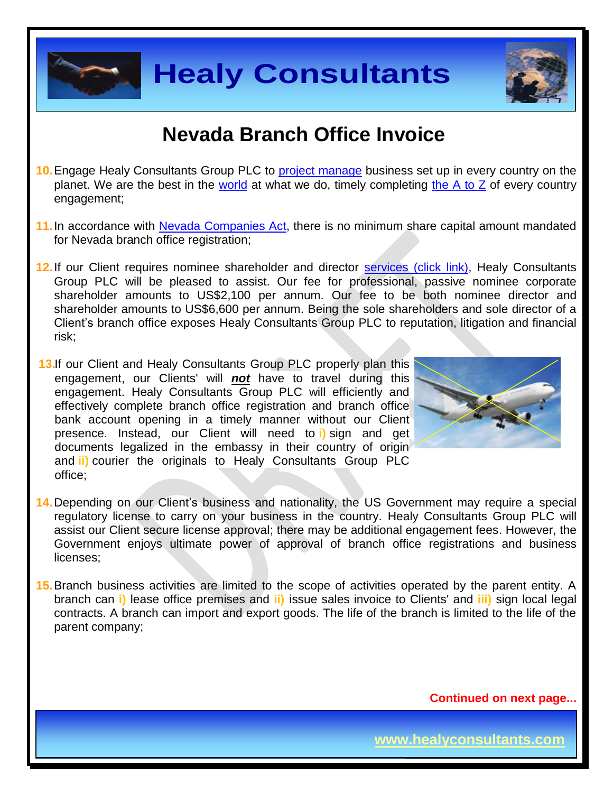



- **10.**Engage Healy Consultants Group PLC to [project manage](http://www.healyconsultants.com/project-manage-engagements/) business set up in every country on the planet. We are the best in the [world](http://www.healyconsultants.com/best-in-the-world/) at what we do, timely completing the  $A$  to  $Z$  of every country engagement;
- **11.**In accordance with Nevada [Companies Act,](http://www.leg.state.nv.us/NRS/NRS-086.html) there is no minimum share capital amount mandated for Nevada branch office registration;
- **Healy Consultants**<br> **Mevada Branch Office Invoice**<br>
Nevada Branch Office Invoice<br>
New The Branch Office Invoice<br>
New The Branch Consultant we do, timely completing the A to Z of every count<br>
the word a companies Act, ther **12.**If our Client requires nominee shareholder and director services [\(click link\),](http://www.healyconsultants.com/corporate-outsourcing-services/nominee-shareholders-directors/) Healy Consultants Group PLC will be pleased to assist. Our fee for professional, passive nominee corporate shareholder amounts to US\$2,100 per annum. Our fee to be both nominee director and shareholder amounts to US\$6,600 per annum. Being the sole shareholders and sole director of a Client's branch office exposes Healy Consultants Group PLC to reputation, litigation and financial risk;
- 13.If our Client and Healy Consultants Group PLC properly plan this engagement, our Clients' will *not* have to travel during this engagement. Healy Consultants Group PLC will efficiently and effectively complete branch office registration and branch office bank account opening in a timely manner without our Client presence. Instead, our Client will need to **i)** sign and get documents legalized in the embassy in their country of origin and **ii)** courier the originals to Healy Consultants Group PLC office;



- **14.**Depending on our Client's business and nationality, the US Government may require a special regulatory license to carry on your business in the country. Healy Consultants Group PLC will assist our Client secure license approval; there may be additional engagement fees. However, the Government enjoys ultimate power of approval of branch office registrations and business licenses;
- **15.**Branch business activities are limited to the scope of activities operated by the parent entity. A branch can **i)** lease office premises and **ii)** issue sales invoice to Clients' and **iii)** sign local legal contracts. A branch can import and export goods. The life of the branch is limited to the life of the parent company;

**Continued on next page...**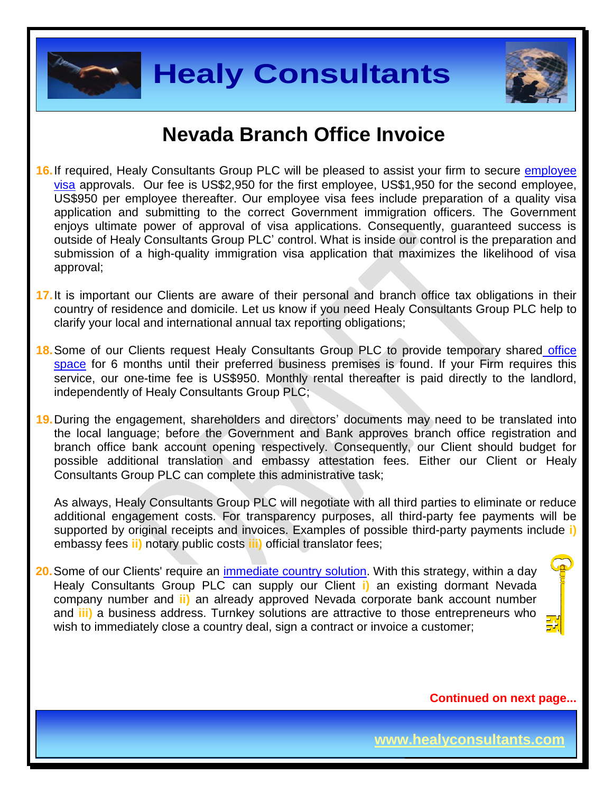



- **Healy Consultants**<br>
Wevada Branch Office Invoice<br>
Consultants (Soup PLC will be pleased to assist your firm to secure employer<br>
the six US2.580 for the list employee, US\$1,850 for the second employee<br>
over the second the **16.**If required, Healy Consultants Group PLC will be pleased to assist your firm to secure [employee](http://www.healyconsultants.com/usa-company-registration/formation-support-services/)  [visa](http://www.healyconsultants.com/usa-company-registration/formation-support-services/) approvals. Our fee is US\$2,950 for the first employee, US\$1,950 for the second employee, US\$950 per employee thereafter. Our employee visa fees include preparation of a quality visa application and submitting to the correct Government immigration officers. The Government enjoys ultimate power of approval of visa applications. Consequently, guaranteed success is outside of Healy Consultants Group PLC' control. What is inside our control is the preparation and submission of a high-quality immigration visa application that maximizes the likelihood of visa approval;
- **17.**It is important our Clients are aware of their personal and branch office tax obligations in their country of residence and domicile. Let us know if you need Healy Consultants Group PLC help to clarify your local and international annual tax reporting obligations;
- **18.**Some of our Clients request Healy Consultants Group PLC to provide temporary shared [office](http://www.healyconsultants.com/virtual-office/)  [space](http://www.healyconsultants.com/virtual-office/) for 6 months until their preferred business premises is found. If your Firm requires this service, our one-time fee is US\$950. Monthly rental thereafter is paid directly to the landlord, independently of Healy Consultants Group PLC;
- **19.**During the engagement, shareholders and directors' documents may need to be translated into the local language; before the Government and Bank approves branch office registration and branch office bank account opening respectively. Consequently, our Client should budget for possible additional translation and embassy attestation fees. Either our Client or Healy Consultants Group PLC can complete this administrative task;

As always, Healy Consultants Group PLC will negotiate with all third parties to eliminate or reduce additional engagement costs. For transparency purposes, all third-party fee payments will be supported by original receipts and invoices. Examples of possible third-party payments include **i)** embassy fees **ii)** notary public costs **iii)** official translator fees;

**20.** Some of our Clients' require an *immediate country solution*. With this strategy, within a day Healy Consultants Group PLC can supply our Client **i)** an existing dormant Nevada company number and **ii)** an already approved Nevada corporate bank account number and **iii)** a business address. Turnkey solutions are attractive to those entrepreneurs who wish to immediately close a country deal, sign a contract or invoice a customer;



**Continued on next page...**